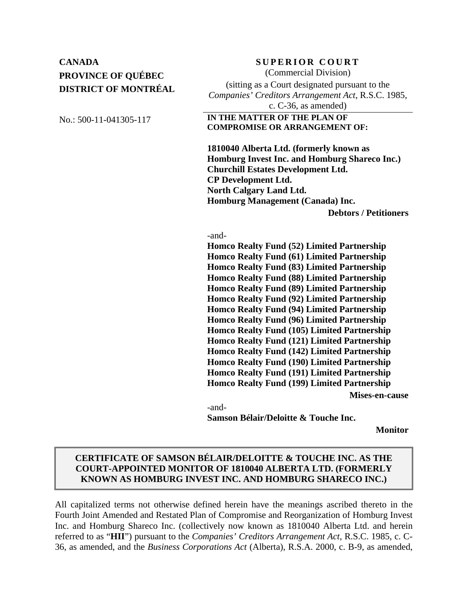# **CANADA** SUPERIOR COURT **PROVINCE OF QUÉBEC DISTRICT OF MONTRÉAL**

(Commercial Division)

(sitting as a Court designated pursuant to the *Companies' Creditors Arrangement Act*, R.S.C. 1985, c. C-36, as amended)

### No.: 500-11-041305-117 **IN THE MATTER OF THE PLAN OF COMPROMISE OR ARRANGEMENT OF:**

 **1810040 Alberta Ltd. (formerly known as Homburg Invest Inc. and Homburg Shareco Inc.) Churchill Estates Development Ltd. CP Development Ltd. North Calgary Land Ltd. Homburg Management (Canada) Inc. Debtors / Petitioners**

#### -and-

**Homco Realty Fund (52) Limited Partnership Homco Realty Fund (61) Limited Partnership Homco Realty Fund (83) Limited Partnership Homco Realty Fund (88) Limited Partnership Homco Realty Fund (89) Limited Partnership Homco Realty Fund (92) Limited Partnership Homco Realty Fund (94) Limited Partnership Homco Realty Fund (96) Limited Partnership Homco Realty Fund (105) Limited Partnership Homco Realty Fund (121) Limited Partnership Homco Realty Fund (142) Limited Partnership Homco Realty Fund (190) Limited Partnership Homco Realty Fund (191) Limited Partnership Homco Realty Fund (199) Limited Partnership Mises-en-cause**  -and-

**Samson Bélair/Deloitte & Touche Inc.** 

**Monitor**

## **CERTIFICATE OF SAMSON BÉLAIR/DELOITTE & TOUCHE INC. AS THE COURT-APPOINTED MONITOR OF 1810040 ALBERTA LTD. (FORMERLY KNOWN AS HOMBURG INVEST INC. AND HOMBURG SHARECO INC.)**

All capitalized terms not otherwise defined herein have the meanings ascribed thereto in the Fourth Joint Amended and Restated Plan of Compromise and Reorganization of Homburg Invest Inc. and Homburg Shareco Inc. (collectively now known as 1810040 Alberta Ltd. and herein referred to as "**HII**") pursuant to the *Companies' Creditors Arrangement Act*, R.S.C. 1985, c. C-36, as amended, and the *Business Corporations Act* (Alberta), R.S.A. 2000, c. B-9, as amended,